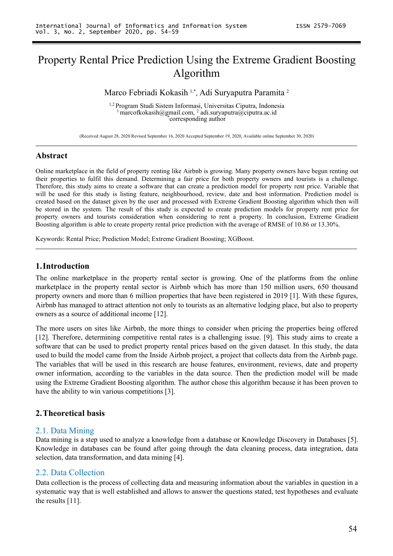# Property Rental Price Prediction Using the Extreme Gradient Boosting Algorithm

#### Marco Febriadi Kokasih 1,\*, Adi Suryaputra Paramita <sup>2</sup> 2

1,2 Program Studi Sistem Informasi, Universitas Ciputra, Indonesia <sup>1</sup> [marcofkokasih@gmail.com,](mailto:marcofkokasih@gmail.com,) <sup>2</sup> adi.suryaputra@ciputra.ac.id \*corresponding author

(Received August 28, 2020 Revised September 16,2020 Accepted September 19,2020, Available online September 30,2020)

## **Abstract**

Online marketplace in the field of property renting like Airbnb is growing.Many property owners have begun renting out their properties to fulfil this demand. Determining a fair price for both property owners and tourists is a challenge. Therefore, this study aims to create a software that can create a prediction model for property rent price. Variable that will be used for this study is listing feature, neighbourhood, review, date and host information. Prediction model is created based on the dataset given by the user and processed with Extreme Gradient Boosting algorithm which then will be stored in the system. The result of this study is expected to create prediction models for property rent price for property owners and tourists consideration when considering to rent a property. In conclusion, Extreme Gradient Boosting algorithm is able to create property rental price prediction with the average of RMSE of 10.86 or 13.30%.<br>Keywords: Rental Price; Prediction Model; Extreme Gradient Boosting; XGBoost.

## **1.Introduction**

The online marketplace in the property rental sector is growing. One of the platforms from the online marketplace in the property rental sector is Airbnb which has more than 150 million users, 650 thousand property owners and more than 6 million properties that have been registered in 2019 [1]. With these figures, Airbnb has managed to attract attention not only to tourists as an alternative lodging place, but also to property owners as a source of additional income [12].

The more users on sites like Airbnb, the more things to consider when pricing the properties being offered [12]. Therefore, determining competitive rental rates is a challenging issue. [9]. This study aims to create a software that can be used to predict property rental prices based on the given dataset. In this study, the data used to build the model came from the Inside Airbnb project, a project that collects data from the Airbnb page. The variables that will be used in this research are house features, environment, reviews, date and property owner information, according to the variables in the data source. Then the prediction model will be made using the Extreme Gradient Boosting algorithm. The author chose this algorithm because it has been proven to have the ability to win various competitions [3].

## **2.Theoretical basis**

## 2.1. Data Mining

Data mining is a step used to analyze a knowledge from a database or Knowledge Discovery in Databases [5]. Knowledge in databases can be found after going through the data cleaning process, data integration, data selection, data transformation, and data mining [4].

## 2.2. Data Collection

Data collection is the process of collecting data and measuring information about the variables in question in a systematic way that is well established and allows to answer the questions stated, test hypotheses and evaluate the results [11].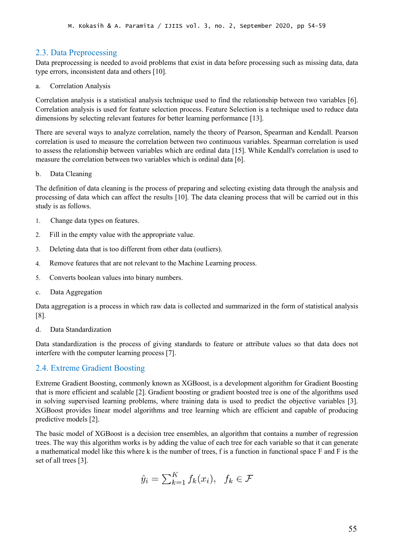## 2.3. Data Preprocessing

Data preprocessing is needed to avoid problems that exist in data before processing such as missing data, data type errors, inconsistent data and others [10].

a. Correlation Analysis

Correlation analysis is a statistical analysis technique used to find the relationship between two variables [6]. Correlation analysis is used for feature selection process. Feature Selection is a technique used to reduce data dimensions by selecting relevant features for better learning performance [13].

There are several ways to analyze correlation, namely the theory of Pearson, Spearman and Kendall. Pearson correlation is used to measure the correlation between two continuous variables. Spearman correlation is used to assess the relationship between variables which are ordinal data [15]. While Kendall's correlation is used to measure the correlation between two variables which is ordinal data [6].

b. Data Cleaning

The definition of data cleaning is the process of preparing and selecting existing data through the analysis and processing of data which can affect the results [10]. The data cleaning process that will be carried out in this study is as follows.

- 1. Change data types on features.
- 2. Fill in the empty value with the appropriate value.
- 3. Deleting data that is too different from other data (outliers).
- 4. Remove features that are not relevant to the Machine Learning process.
- 5. Converts boolean values into binary numbers.
- c. Data Aggregation

Data aggregation is a process in which raw data is collected and summarized in the form of statistical analysis [8].

d. Data Standardization

Data standardization is the process of giving standards to feature or attribute values so that data does not interfere with the computer learning process [7].

## 2.4. Extreme Gradient Boosting

Extreme Gradient Boosting, commonly known as XGBoost, is a development algorithm for Gradient Boosting that is more efficient and scalable [2]. Gradient boosting or gradient boosted tree is one of the algorithms used in solving supervised learning problems, where training data is used to predict the objective variables [3]. XGBoost provides linear model algorithms and tree learning which are efficient and capable of producing predictive models [2].

The basic model of XGBoost is a decision tree ensembles, an algorithm that contains a number of regression trees. The way this algorithm works is by adding the value of each tree foreach variable so that it can generate a mathematical model like this where k is the number of trees, f is a function in functionalspace F and F is the set of all trees [3].

$$
\hat{y}_i = \sum_{k=1}^K f_k(x_i), \quad f_k \in \mathcal{F}
$$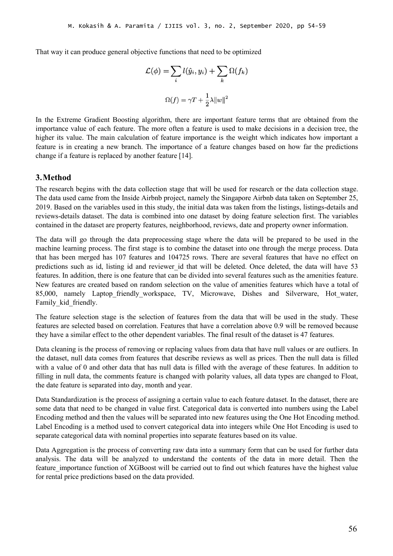That way it can produce general objective functions that need to be optimized

$$
\mathcal{L}(\phi) = \sum_{i} l(\hat{y}_i, y_i) + \sum_{k} \Omega(f_k)
$$

$$
\Omega(f) = \gamma T + \frac{1}{2}\lambda \|w\|^2
$$

In the Extreme Gradient Boosting algorithm, there are important feature terms that are obtained from the importance value of each feature. The more often a feature is used to make decisions in a decision tree, the higher its value. The main calculation of feature importance is the weight which indicates how important a feature is in creating a new branch. The importance of a feature changes based on how far the predictions change if a feature is replaced by another feature [14].

## **3.Method**

The research begins with the data collection stage that will be used for research or the data collection stage. The data used came from the Inside Airbnb project, namely the Singapore Airbnb data taken on September 25, 2019. Based on the variables used in this study, the initial data was taken from the listings, listings-details and reviews-details dataset. The data is combined into one dataset by doing feature selection first. The variables contained in the dataset are property features, neighborhood, reviews, date and property owner information.

The data will go through the data preprocessing stage where the data will be prepared to be used in the machine learning process. The first stage is to combine the dataset into one through the merge process. Data that has been merged has 107 features and 104725 rows. There are several features that have no effect on predictions such as id, listing id and reviewer id that will be deleted. Once deleted, the data will have 53 features. In addition, there is one feature that can be divided into several features such as the amenities feature. New features are created based on random selection on the value of amenities features which have a total of 85,000, namely Laptop friendly workspace, TV, Microwave, Dishes and Silverware, Hot water, Family kid friendly.

The feature selection stage is the selection of features from the data that will be used in the study. These features are selected based on correlation. Features that have a correlation above 0.9 will be removed because they have a similar effect to the other dependent variables. The final result of the dataset is 47 features.

Data cleaning is the process of removing or replacing values from data that have null values or are outliers. In the dataset, null data comes from features that describe reviews as well as prices. Then the null data isfilled with a value of 0 and other data that has null data is filled with the average of these features. In addition to filling in null data, the comments feature is changed with polarity values, all data types are changed to Float, the date feature is separated into day, month and year.

Data Standardization is the process of assigning a certain value to each feature dataset. In the dataset, there are some data that need to be changed in value first. Categorical data is converted into numbers using the Label Encoding method and then the values will be separated into new features using the One Hot Encoding method. Label Encoding is a method used to convert categorical data into integers while One Hot Encoding is used to separate categorical data with nominal properties into separate features based on its value.

Data Aggregation is the process of converting raw data into a summary form that can be used for further data analysis. The data will be analyzed to understand the contents of the data in more detail. Then the feature\_importance function of XGBoost will be carried out to find out which features have the highest value for rental price predictions based on the data provided.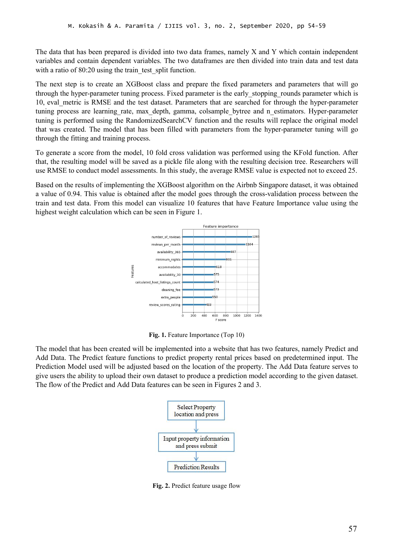The data that has been prepared is divided into two data frames, namely X and Y which contain independent variables and contain dependent variables. The two dataframes are then divided into train data and test data with a ratio of 80:20 using the train test split function.

The next step is to create an XGBoost class and prepare the fixed parameters and parameters that will go through the hyper-parameter tuning process. Fixed parameter is the early stopping rounds parameter which is 10, eval\_metric isRMSE and the test dataset. Parameters that are searched for through the hyper-parameter tuning process are learning rate, max depth, gamma, colsample bytree and n estimators. Hyper-parameter tuning is performed using the RandomizedSearchCV function and the results will replace the original model that was created. The model that has been filled with parameters from the hyper-parameter tuning will go through the fitting and training process.

To generate a score from the model, 10 fold cross validation was performed using the KFold function. After that, the resulting model will be saved as a pickle file along with the resulting decision tree. Researchers will use RMSE to conduct model assessments. In this study, the average RMSE value is expected not to exceed 25.

Based on the results of implementing the XGBoost algorithm on the Airbnb Singapore dataset, it was obtained a value of 0.94. This value is obtained after the model goes through the cross-validation process between the train and test data. From this model can visualize 10 features that have Feature Importance value using the highest weight calculation which can be seen in Figure 1.



**Fig. 1.** Feature Importance (Top 10)

The model that has been created will be implemented into a website that has two features, namely Predict and Add Data. The Predict feature functions to predict property rental prices based on predetermined input. The Prediction Model used will be adjusted based on the location of the property. The Add Data feature serves to give users the ability to upload their own dataset to produce a prediction model according to the given dataset. The flow of the Predict and Add Data features can be seen in Figures 2 and 3.



**Fig. 2.** Predict feature usage flow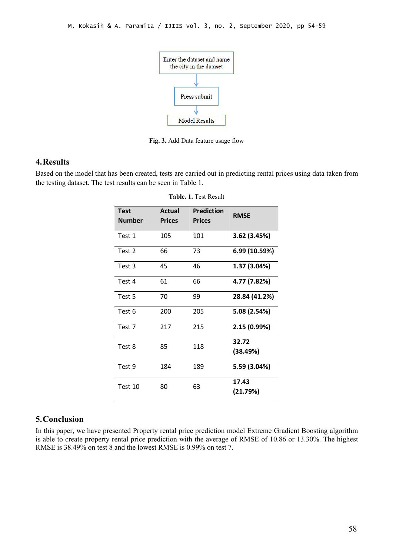

**Fig. 3.** Add Data feature usage flow

## **4.Results**

Based on the model that has been created, tests are carried out in predicting rental prices using data taken from the testing dataset. The test results can be seen in Table 1.

| <b>Test</b><br>Number | <b>Actual</b><br><b>Prices</b> | <b>Prediction</b><br><b>Prices</b> | <b>RMSE</b>       |
|-----------------------|--------------------------------|------------------------------------|-------------------|
| Test 1                | 105                            | 101                                | 3.62 (3.45%)      |
| Test 2                | 66                             | 73                                 | 6.99 (10.59%)     |
| Test 3                | 45                             | 46                                 | 1.37 (3.04%)      |
| Test 4                | 61                             | 66                                 | 4.77 (7.82%)      |
| Test 5                | 70                             | 99                                 | 28.84 (41.2%)     |
| Test 6                | 200                            | 205                                | 5.08 (2.54%)      |
| Test 7                | 217                            | 215                                | 2.15 (0.99%)      |
| Test 8                | 85                             | 118                                | 32.72<br>(38.49%) |
| Test 9                | 184                            | 189                                | 5.59 (3.04%)      |
| Test 10               | 80                             | 63                                 | 17.43<br>(21.79%) |

**Table. 1.** Test Result

## **5.Conclusion**

In this paper, we have presented Property rental price prediction model Extreme Gradient Boosting algorithm is able to create property rental price prediction with the average of RMSE of 10.86 or 13.30%. The highest RMSE is 38.49% on test 8 and the lowest RMSE is 0.99% on test 7.